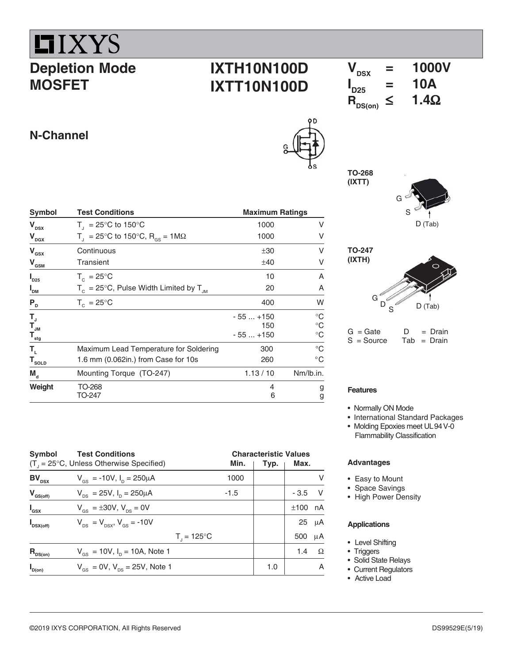

# **Depletion Mode MOSFET**

## **IXTH10N100D IXTT10N100D**

# $\overline{V_{DSX}}$  = 1000V<br> $\overline{V_{DSX}}$  = 10A  $I_{D25}$  = 10A  $R_{DS(on)}^T \leq 1.4\Omega$

## **N-Channel**

| Symbol                             | <b>Test Conditions</b>                                        | <b>Maximum Ratings</b> |              |  |
|------------------------------------|---------------------------------------------------------------|------------------------|--------------|--|
| V <sub>DSX</sub>                   | $T_{\text{I}}$ = 25°C to 150°C                                | 1000                   | V            |  |
| $\bm{{\mathsf{V}}}_{\texttt{DGX}}$ | T <sub>1</sub> = 25°C to 150°C, R <sub>os</sub> = 1M $\Omega$ | 1000                   | V            |  |
| V <sub>GSX</sub>                   | Continuous                                                    | ±30                    | v            |  |
| $V_{\text{GSM}}$                   | Transient                                                     | ±40                    | V            |  |
| $\mathsf{I}_{\mathsf{D25}}$        | $T_c = 25^{\circ}$ C                                          | 10                     | A            |  |
| $\mathsf{I}_{_{\sf DM}}$           | $T_c = 25^{\circ}$ C, Pulse Width Limited by $T_{JM}$         | 20                     | Α            |  |
| ${\sf P}_{_{\sf D}}$               | $T_c = 25^{\circ}C$                                           | 400                    | W            |  |
| T <sub>J</sub><br>T <sub>JM</sub>  |                                                               | $-55+150$              | $^{\circ}$ C |  |
|                                    |                                                               | 150                    | $^{\circ}$ C |  |
| $\mathsf{T}_{\mathsf{stg}}$        |                                                               | $-55+150$              | $^{\circ}C$  |  |
| Т,                                 | Maximum Lead Temperature for Soldering                        | 300                    | $^{\circ}C$  |  |
| ${\tt T}_{\tt SOLD}$               | 1.6 mm (0.062in.) from Case for 10s                           | 260                    | $^{\circ}$ C |  |
| $\mathbf{M}_{\mathsf{a}}$          | Mounting Torque (TO-247)                                      | 1.13/10                | Nm/lb.in.    |  |
| Weight                             | TO-268<br>TO-247                                              | 4<br>6                 | g<br>g       |  |





 $G = Gate$   $D = Drain$  $S = Source$  Tab = Drain

### **Features**

**TO-268 (IXTT)**

- Normally ON Mode
- International Standard Packages
- Molding Epoxies meet UL94 V-0 Flammability Classification

### **Advantages**

- Easy to Mount
- Space Savings
- High Power Density

#### **Applications**

- Level Shifting
- Triggers
- Solid State Relays
- Current Regulators
- Active Load

| Symbol                  | <b>Test Conditions</b>                                    |        | <b>Characteristic Values</b> |                 |
|-------------------------|-----------------------------------------------------------|--------|------------------------------|-----------------|
|                         | $(T1 = 25°C, Unless Otherwise Specifically)$              | Min.   | Typ.                         | Max.            |
| $BV_{DSX}$              | $V_{\text{es}} = -10V$ , $I_{\text{p}} = 250 \mu A$       | 1000   |                              | v               |
| $V_{GS(off)}$           | $V_{\text{ns}} = 25V$ , $I_{\text{n}} = 250 \mu A$        | $-1.5$ |                              | V<br>$-3.5$     |
| $I_{\text{gsx}}$        | $V_{\rm{gs}} = \pm 30V, V_{\rm{ps}} = 0V$                 |        |                              | nA<br>±100      |
| $\mathbf{I}_{DSX(off)}$ | $V_{\text{ps}} = V_{\text{psx}}$ , $V_{\text{gs}} = -10V$ |        |                              | $25 \mu A$      |
|                         | $T_{1} = 125^{\circ}C$                                    |        |                              | μA<br>500       |
| $R_{DS(on)}$            | $V_{\text{gs}} = 10V$ , $I_{\text{p}} = 10A$ , Note 1     |        |                              | $\Omega$<br>1.4 |
| $\mathbf{I}_{D(on)}$    | $V_{\text{gs}} = 0V$ , $V_{\text{ps}} = 25V$ , Note 1     |        | 1.0                          | A               |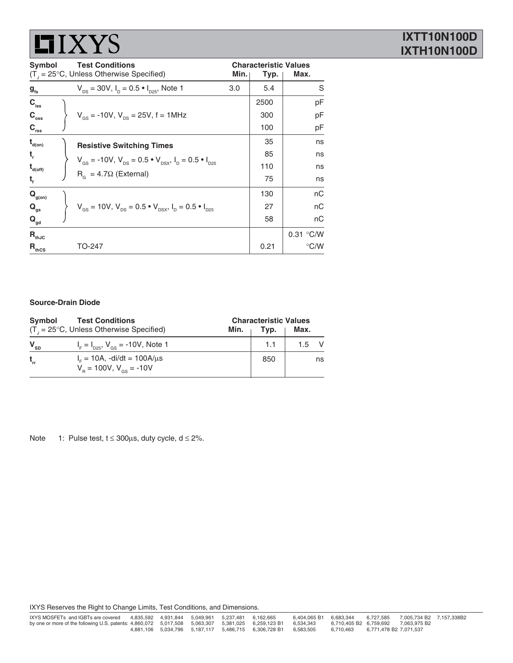# **LIXYS**

### **IXTT10N100D IXTH10N100D**

| <b>Symbol</b>               | <b>Test Conditions</b><br>$(T_{1} = 25^{\circ}C,$ Unless Otherwise Specified)                                          | <b>Characteristic Values</b><br>Min.<br>Max.<br>Typ. |      |               |
|-----------------------------|------------------------------------------------------------------------------------------------------------------------|------------------------------------------------------|------|---------------|
| $g_{\rm fs}$                | $V_{DS}$ = 30V, $I_D$ = 0.5 $\bullet$ $I_{D25}$ , Note 1                                                               | 3.0                                                  | 5.4  | S             |
| $C_{\text{iss}}$            |                                                                                                                        |                                                      | 2500 | рF            |
| $C_{\rm{oss}}$              | $V_{GS}$ = -10V, $V_{DS}$ = 25V, f = 1MHz                                                                              |                                                      | 300  | рF            |
| $C_{\rm rss}$               |                                                                                                                        |                                                      | 100  | рF            |
| $t_{\text{\tiny d(0n)}}$    | <b>Resistive Switching Times</b>                                                                                       |                                                      | 35   | ns            |
| $t_{\rm r}$                 | $V_{\text{gs}}$ = -10V, $V_{\text{ps}}$ = 0.5 $\cdot$ V <sub>psx</sub> , $I_{\text{p}}$ = 0.5 $\cdot$ $I_{\text{pgs}}$ |                                                      | 85   | ns            |
| $t_{\text{\tiny d(off)}}$   |                                                                                                                        |                                                      | 110  | ns            |
| τ,                          | $R_c = 4.7\Omega$ (External)                                                                                           |                                                      | 75   | ns            |
| $\mathbf{Q}_{\text{g(on)}}$ |                                                                                                                        |                                                      | 130  | nC            |
| $Q_{qs}$                    | $V_{\text{gs}} = 10V$ , $V_{\text{ps}} = 0.5 \cdot V_{\text{psx}}$ , $I_{\text{p}} = 0.5 \cdot I_{\text{psz}}$         |                                                      | 27   | пC            |
| $\mathbf{Q}_{\mathsf{gd}}$  |                                                                                                                        |                                                      | 58   | пC            |
| $R_{thJC}$                  |                                                                                                                        |                                                      |      | 0.31 °C/W     |
| $\mathsf{R}_{\text{thcs}}$  | TO-247                                                                                                                 |                                                      | 0.21 | $\degree$ C/W |

### **Source-Drain Diode**

| Svmbol   | <b>Test Conditions</b><br>$(T1 = 25°C, Unless Otherwise Specifically)$                 | <b>Characteristic Values</b><br>Typ.<br>Max.<br>Min. |     |      |    |
|----------|----------------------------------------------------------------------------------------|------------------------------------------------------|-----|------|----|
| $V_{SD}$ | $I_F = I_{D25}$ , $V_{GS} = -10V$ , Note 1                                             |                                                      |     | 15 V |    |
| $t_{rr}$ | $I_{\rm c} = 10$ A, -di/dt = 100A/ $\mu$ s<br>$V_{\rm B} = 100V$ , $V_{\rm ds} = -10V$ |                                                      | 850 |      | ns |

Note 1: Pulse test,  $t \le 300 \mu s$ , duty cycle,  $d \le 2\%$ .

IXYS Reserves the Right to Change Limits, Test Conditions, and Dimensions.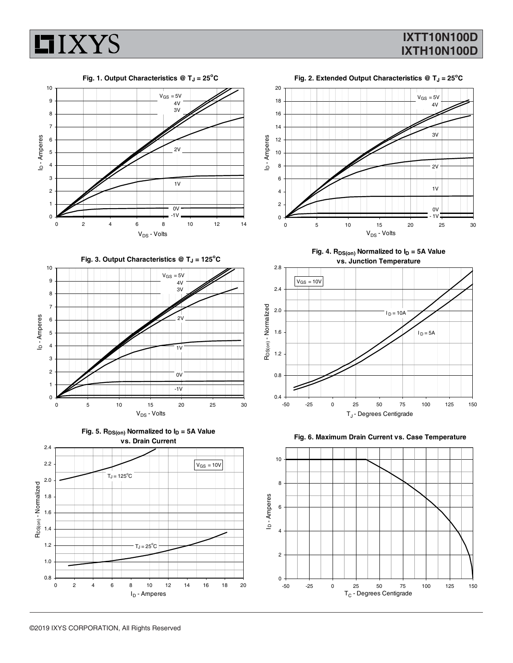

**Fig. 1. Output Characteristics @ T<sub>J</sub> = 25<sup>°</sup>C** 



Fig. 3. Output Characteristics @ T<sub>J</sub> = 125<sup>°</sup>C











Fig. 4. R<sub>DS(on)</sub> Normalized to  $I_D = 5A$  Value **vs. Junction Temperature**





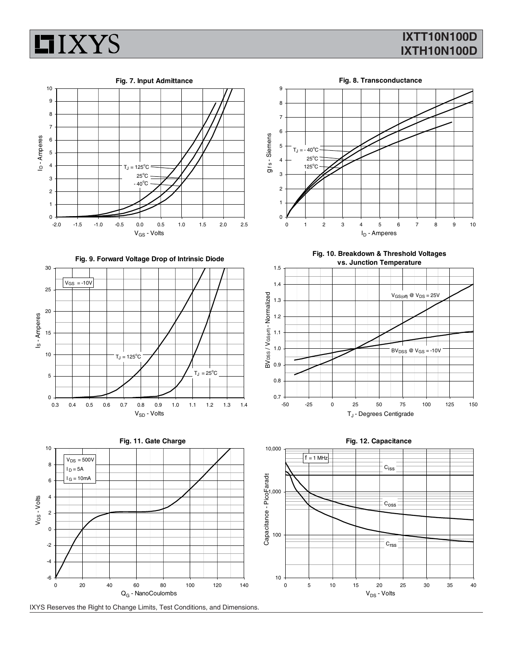





0 20 40 60 80 100 120 140

-6



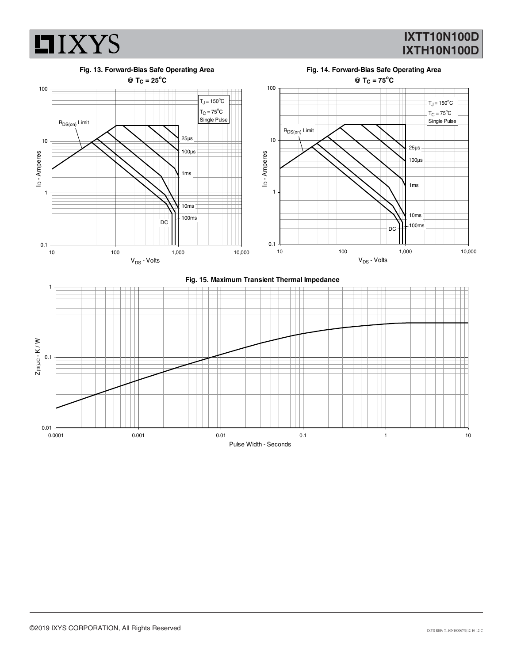

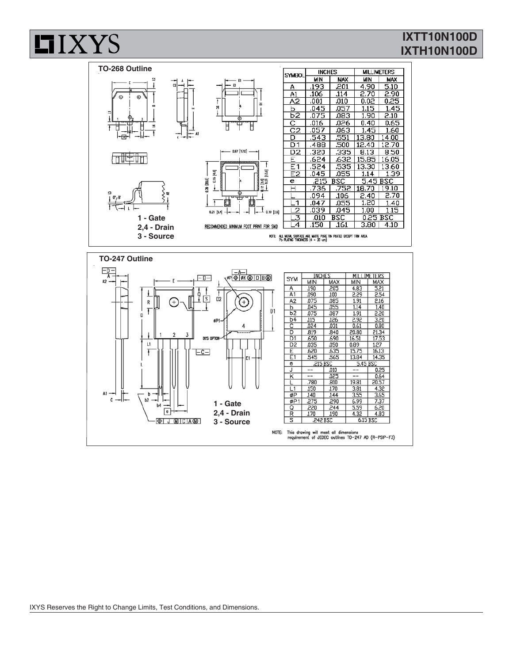



**HIXYS**